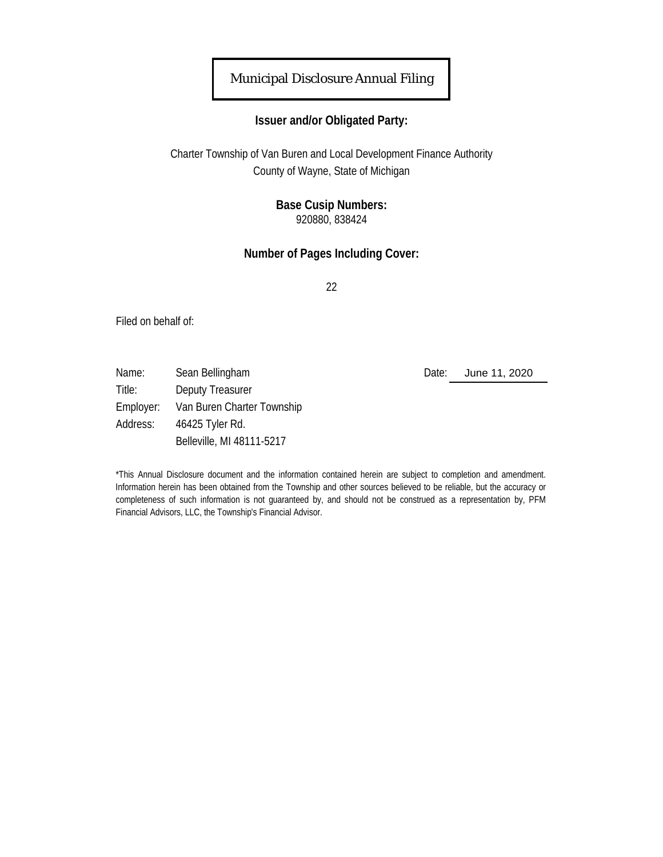## Municipal Disclosure Annual Filing

### **Issuer and/or Obligated Party:**

Charter Township of Van Buren and Local Development Finance Authority County of Wayne, State of Michigan

### **Base Cusip Numbers:** 920880, 838424

### **Number of Pages Including Cover:**

22

Filed on behalf of:

Name: Sean Bellingham **Date:** Date: Title: Deputy Treasurer Employer: Van Buren Charter Township Address: 46425 Tyler Rd. Belleville, MI 48111-5217

June 11, 2020

\*This Annual Disclosure document and the information contained herein are subject to completion and amendment. Information herein has been obtained from the Township and other sources believed to be reliable, but the accuracy or completeness of such information is not guaranteed by, and should not be construed as a representation by, PFM Financial Advisors, LLC, the Township's Financial Advisor.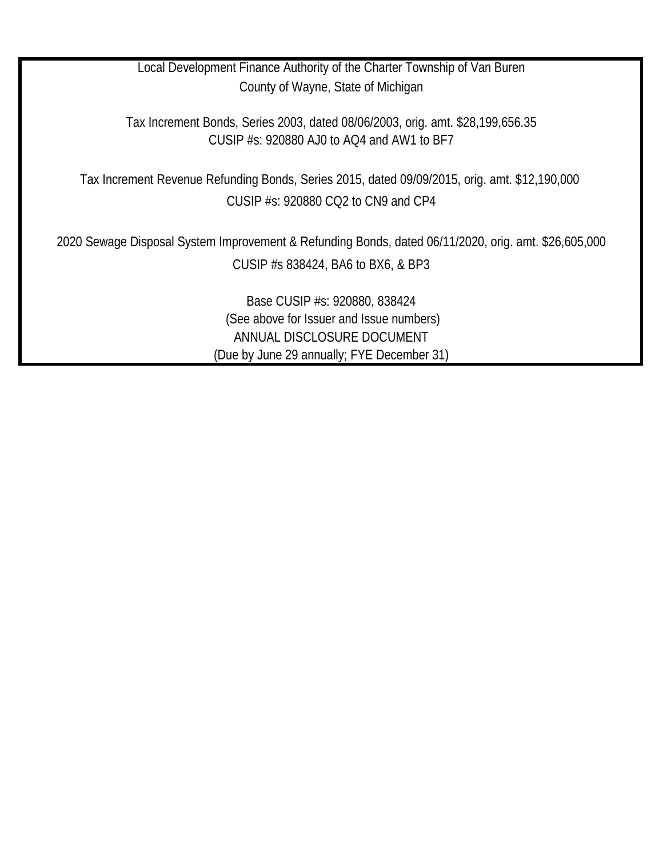Local Development Finance Authority of the Charter Township of Van Buren County of Wayne, State of Michigan

Tax Increment Bonds, Series 2003, dated 08/06/2003, orig. amt. \$28,199,656.35 CUSIP #s: 920880 AJ0 to AQ4 and AW1 to BF7

CUSIP #s: 920880 CQ2 to CN9 and CP4 Tax Increment Revenue Refunding Bonds, Series 2015, dated 09/09/2015, orig. amt. \$12,190,000

2020 Sewage Disposal System Improvement & Refunding Bonds, dated 06/11/2020, orig. amt. \$26,605,000 CUSIP #s 838424, BA6 to BX6, & BP3

> Base CUSIP #s: 920880, 838424 (See above for Issuer and Issue numbers) ANNUAL DISCLOSURE DOCUMENT (Due by June 29 annually; FYE December 31)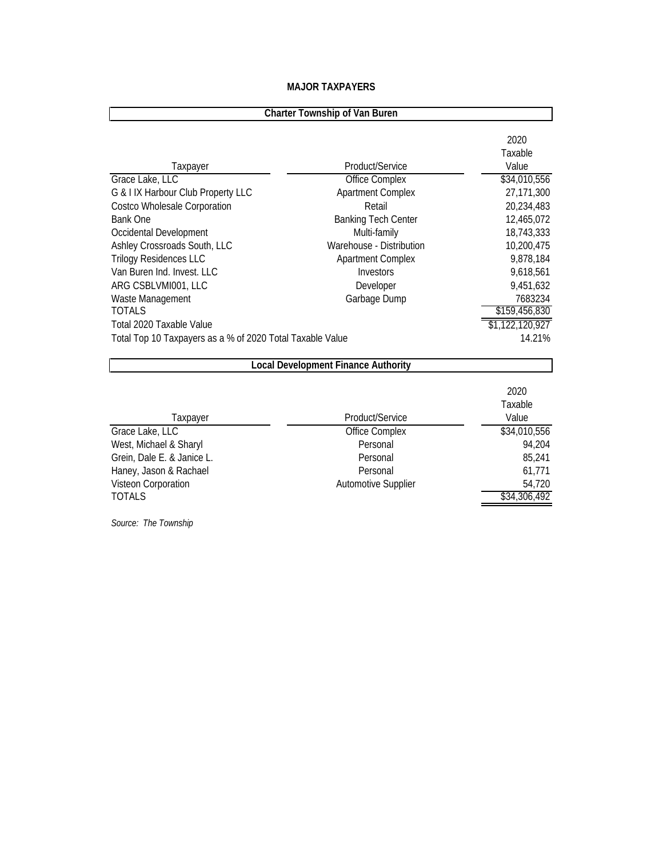| <b>Charter Township of Van Buren</b>                      |                                            |                          |  |  |
|-----------------------------------------------------------|--------------------------------------------|--------------------------|--|--|
| Taxpayer                                                  | Product/Service                            | 2020<br>Taxable<br>Value |  |  |
| Grace Lake, LLC                                           | Office Complex                             | \$34,010,556             |  |  |
| G & I IX Harbour Club Property LLC                        | <b>Apartment Complex</b>                   | 27,171,300               |  |  |
| Costco Wholesale Corporation                              | Retail                                     | 20,234,483               |  |  |
| <b>Bank One</b>                                           | <b>Banking Tech Center</b>                 | 12,465,072               |  |  |
| Occidental Development                                    | Multi-family                               | 18,743,333               |  |  |
| Ashley Crossroads South, LLC                              | Warehouse - Distribution                   | 10,200,475               |  |  |
| <b>Trilogy Residences LLC</b>                             | <b>Apartment Complex</b>                   | 9,878,184                |  |  |
| Van Buren Ind. Invest. LLC                                | Investors                                  | 9,618,561                |  |  |
| ARG CSBLVMI001, LLC                                       | Developer                                  | 9,451,632                |  |  |
| Waste Management                                          | Garbage Dump                               | 7683234                  |  |  |
| <b>TOTALS</b>                                             |                                            | \$159,456,830            |  |  |
| Total 2020 Taxable Value                                  |                                            | \$1,122,120,927          |  |  |
| Total Top 10 Taxpayers as a % of 2020 Total Taxable Value |                                            | 14.21%                   |  |  |
|                                                           | <b>Local Development Finance Authority</b> |                          |  |  |
|                                                           |                                            | 2020<br>Taxable          |  |  |
| Taxpayer                                                  | Product/Service                            | Value                    |  |  |
| Grace Lake, LLC                                           | Office Complex                             | \$34,010,556             |  |  |
| West, Michael & Sharyl                                    | Personal                                   | 94,204                   |  |  |
| Grein, Dale E. & Janice L.                                | Personal                                   | 85,241                   |  |  |
| Haney, Jason & Rachael                                    | Personal                                   | 61,771                   |  |  |
| Visteon Corporation                                       | Automotive Supplier                        | 54,720                   |  |  |
| <b>TOTALS</b>                                             |                                            | \$34,306,492             |  |  |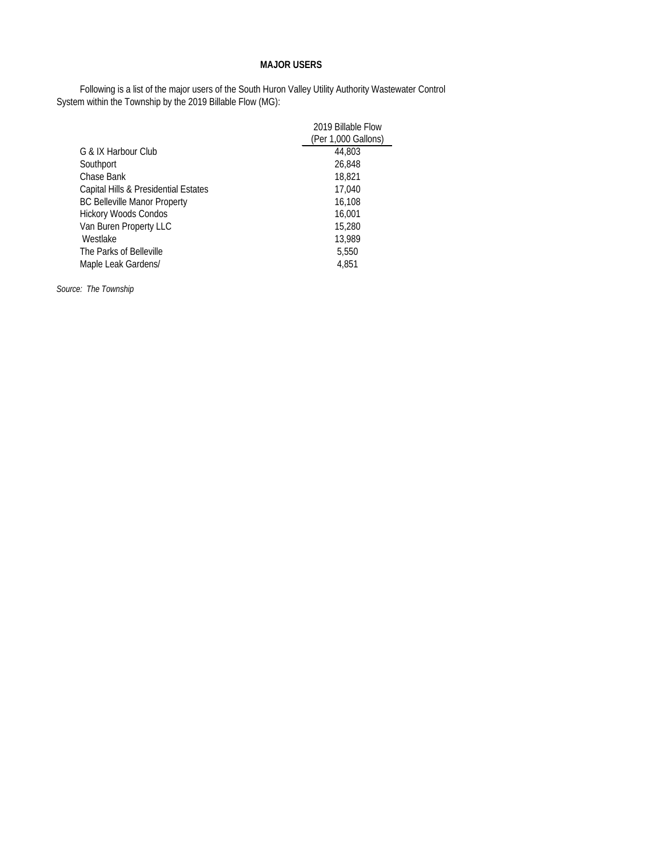#### **MAJOR USERS**

Following is a list of the major users of the South Huron Valley Utility Authority Wastewater Control System within the Township by the 2019 Billable Flow (MG):

|                                      | 2019 Billable Flow  |
|--------------------------------------|---------------------|
|                                      | (Per 1,000 Gallons) |
| G & IX Harbour Club                  | 44,803              |
| Southport                            | 26,848              |
| Chase Bank                           | 18,821              |
| Capital Hills & Presidential Estates | 17,040              |
| <b>BC Belleville Manor Property</b>  | 16,108              |
| <b>Hickory Woods Condos</b>          | 16,001              |
| Van Buren Property LLC               | 15,280              |
| Westlake                             | 13,989              |
| The Parks of Belleville              | 5,550               |
| Maple Leak Gardens/                  | 4,851               |
|                                      |                     |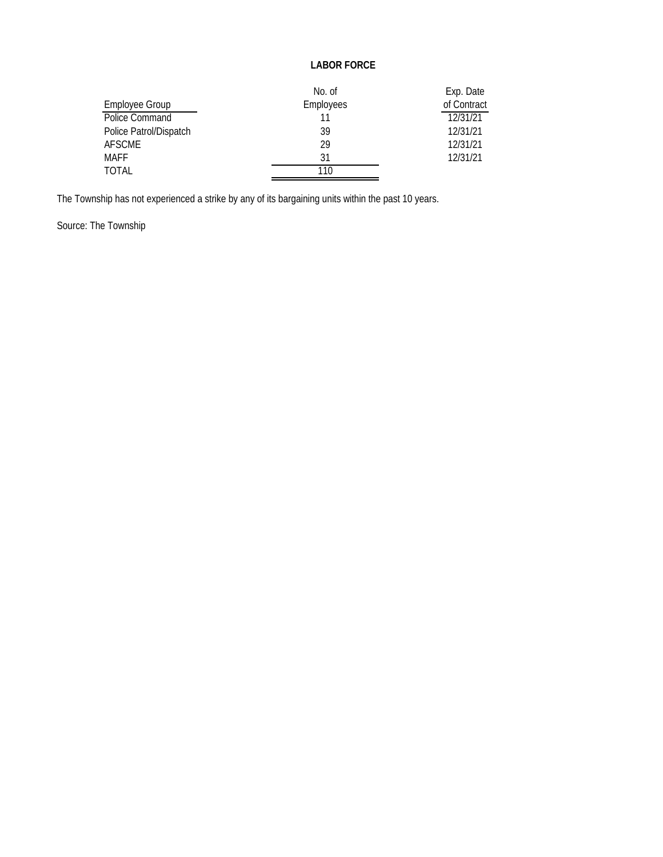#### **LABOR FORCE**

|                        | No. of    | Exp. Date   |
|------------------------|-----------|-------------|
| Employee Group         | Employees | of Contract |
| Police Command         |           | 12/31/21    |
| Police Patrol/Dispatch | 39        | 12/31/21    |
| <b>AFSCME</b>          | 29        | 12/31/21    |
| <b>MAFF</b>            | 31        | 12/31/21    |
| <b>TOTAL</b>           | 110       |             |

The Township has not experienced a strike by any of its bargaining units within the past 10 years.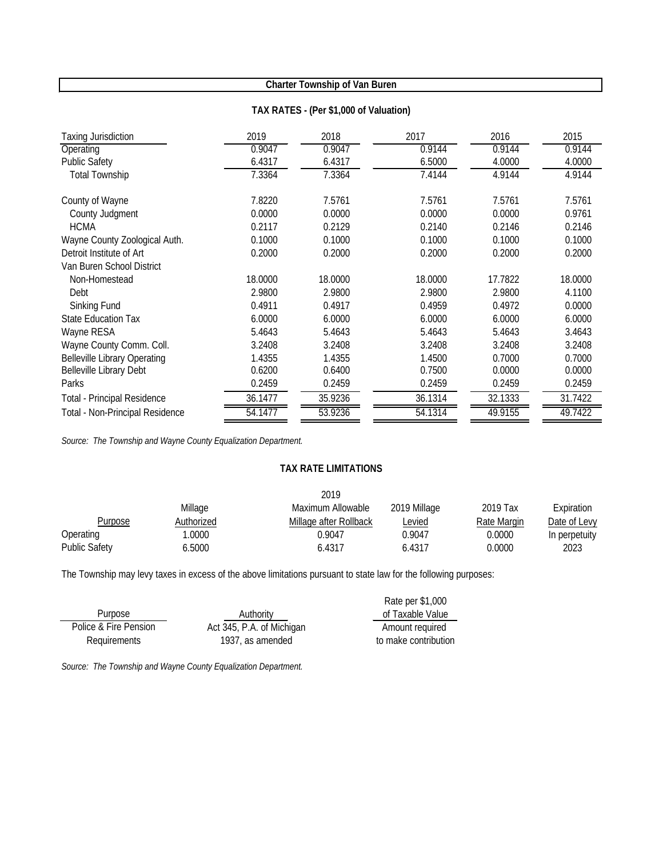#### **TAX RATES - (Per \$1,000 of Valuation)**

| Taxing Jurisdiction                 | 2019    | 2018    | 2017    | 2016    | 2015    |
|-------------------------------------|---------|---------|---------|---------|---------|
| Operating                           | 0.9047  | 0.9047  | 0.9144  | 0.9144  | 0.9144  |
| <b>Public Safety</b>                | 6.4317  | 6.4317  | 6.5000  | 4.0000  | 4.0000  |
| <b>Total Township</b>               | 7.3364  | 7.3364  | 7.4144  | 4.9144  | 4.9144  |
| County of Wayne                     | 7.8220  | 7.5761  | 7.5761  | 7.5761  | 7.5761  |
| County Judgment                     | 0.0000  | 0.0000  | 0.0000  | 0.0000  | 0.9761  |
| <b>HCMA</b>                         | 0.2117  | 0.2129  | 0.2140  | 0.2146  | 0.2146  |
| Wayne County Zoological Auth.       | 0.1000  | 0.1000  | 0.1000  | 0.1000  | 0.1000  |
| Detroit Institute of Art            | 0.2000  | 0.2000  | 0.2000  | 0.2000  | 0.2000  |
| Van Buren School District           |         |         |         |         |         |
| Non-Homestead                       | 18.0000 | 18.0000 | 18.0000 | 17.7822 | 18.0000 |
| Debt                                | 2.9800  | 2.9800  | 2.9800  | 2.9800  | 4.1100  |
| Sinking Fund                        | 0.4911  | 0.4917  | 0.4959  | 0.4972  | 0.0000  |
| <b>State Education Tax</b>          | 6.0000  | 6.0000  | 6.0000  | 6.0000  | 6.0000  |
| Wayne RESA                          | 5.4643  | 5.4643  | 5.4643  | 5.4643  | 3.4643  |
| Wayne County Comm. Coll.            | 3.2408  | 3.2408  | 3.2408  | 3.2408  | 3.2408  |
| <b>Belleville Library Operating</b> | 1.4355  | 1.4355  | 1.4500  | 0.7000  | 0.7000  |
| Belleville Library Debt             | 0.6200  | 0.6400  | 0.7500  | 0.0000  | 0.0000  |
| Parks                               | 0.2459  | 0.2459  | 0.2459  | 0.2459  | 0.2459  |
| <b>Total - Principal Residence</b>  | 36.1477 | 35.9236 | 36.1314 | 32.1333 | 31.7422 |
| Total - Non-Principal Residence     | 54.1477 | 53.9236 | 54.1314 | 49.9155 | 49.7422 |

*Source: The Township and Wayne County Equalization Department.* 

#### **TAX RATE LIMITATIONS**

|                      |            | 2019                   |              |             |               |
|----------------------|------------|------------------------|--------------|-------------|---------------|
|                      | Millage    | Maximum Allowable      | 2019 Millage | 2019 Tax    | Expiration    |
| Purpose              | Authorized | Millage after Rollback | Levied       | Rate Margin | Date of Levy  |
| Operating            | .0000      | 0.9047                 | 0.9047       | 0.0000      | In perpetuity |
| <b>Public Safety</b> | 6.5000     | 6.4317                 | 6.4317       | 0.0000      | 2023          |

The Township may levy taxes in excess of the above limitations pursuant to state law for the following purposes:

|                       |                           | Rate per \$1,000     |
|-----------------------|---------------------------|----------------------|
| Purpose               | Authority                 | of Taxable Value     |
| Police & Fire Pension | Act 345, P.A. of Michigan | Amount required      |
| Requirements          | 1937, as amended          | to make contribution |
|                       |                           |                      |

*Source: The Township and Wayne County Equalization Department.*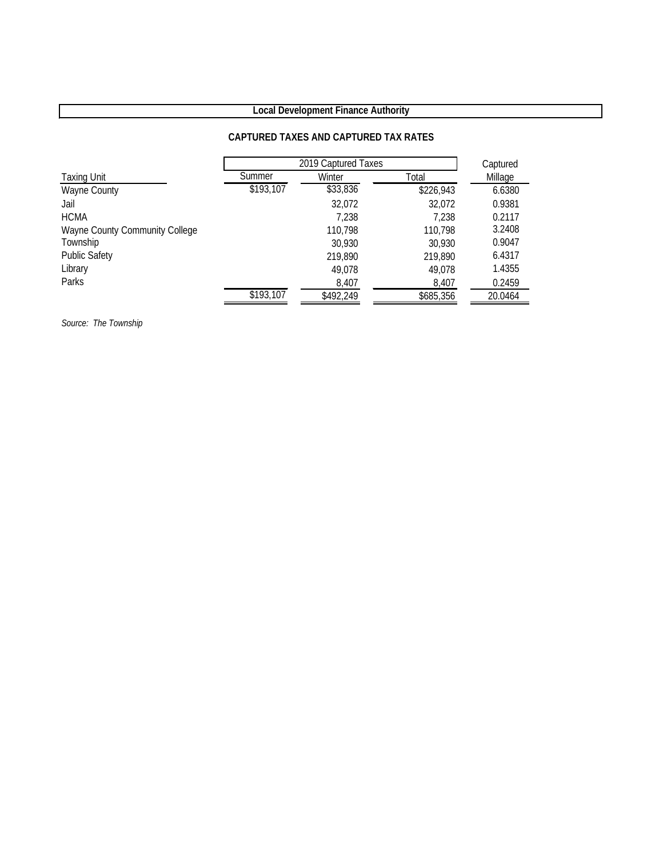## **Local Development Finance Authority**

#### **CAPTURED TAXES AND CAPTURED TAX RATES**

|                                | 2019 Captured Taxes | Captured  |           |         |
|--------------------------------|---------------------|-----------|-----------|---------|
| <b>Taxing Unit</b>             | Summer              | Winter    | Total     | Millage |
| Wayne County                   | \$193,107           | \$33,836  | \$226,943 | 6.6380  |
| Jail                           |                     | 32,072    | 32,072    | 0.9381  |
| <b>HCMA</b>                    |                     | 7,238     | 7.238     | 0.2117  |
| Wayne County Community College |                     | 110,798   | 110,798   | 3.2408  |
| Township                       |                     | 30,930    | 30,930    | 0.9047  |
| <b>Public Safety</b>           |                     | 219,890   | 219,890   | 6.4317  |
| Library                        |                     | 49,078    | 49,078    | 1.4355  |
| Parks                          |                     | 8,407     | 8,407     | 0.2459  |
|                                | \$193,107           | \$492,249 | \$685,356 | 20.0464 |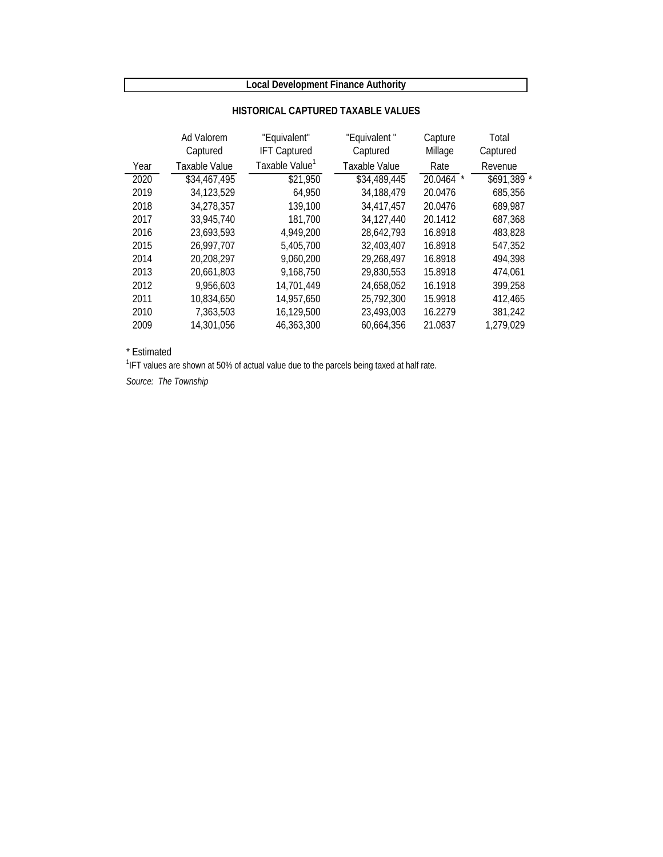## **Local Development Finance Authority**

|      | Ad Valorem<br>Captured | "Equivalent"<br><b>IFT Captured</b> | "Equivalent"<br>Captured | Capture<br>Millage | Total<br>Captured |
|------|------------------------|-------------------------------------|--------------------------|--------------------|-------------------|
| Year | Taxable Value          | Taxable Value <sup>1</sup>          | Taxable Value            | Rate               | Revenue           |
| 2020 | \$34,467,495           | \$21,950                            | \$34,489,445             | 20.0464            | \$691,389 *       |
| 2019 | 34,123,529             | 64,950                              | 34.188.479               | 20.0476            | 685,356           |
| 2018 | 34,278,357             | 139,100                             | 34,417,457               | 20.0476            | 689,987           |
| 2017 | 33,945,740             | 181.700                             | 34,127,440               | 20.1412            | 687,368           |
| 2016 | 23.693.593             | 4,949,200                           | 28.642.793               | 16.8918            | 483,828           |
| 2015 | 26.997.707             | 5,405,700                           | 32,403,407               | 16.8918            | 547.352           |
| 2014 | 20,208,297             | 9,060,200                           | 29,268,497               | 16.8918            | 494,398           |
| 2013 | 20,661,803             | 9,168,750                           | 29,830,553               | 15.8918            | 474.061           |
| 2012 | 9.956.603              | 14.701.449                          | 24.658.052               | 16.1918            | 399,258           |
| 2011 | 10,834,650             | 14,957,650                          | 25,792,300               | 15.9918            | 412,465           |
| 2010 | 7,363,503              | 16,129,500                          | 23,493,003               | 16.2279            | 381,242           |
| 2009 | 14,301,056             | 46,363,300                          | 60.664.356               | 21.0837            | 1,279,029         |

#### **HISTORICAL CAPTURED TAXABLE VALUES**

\* Estimated

<sup>1</sup>IFT values are shown at 50% of actual value due to the parcels being taxed at half rate.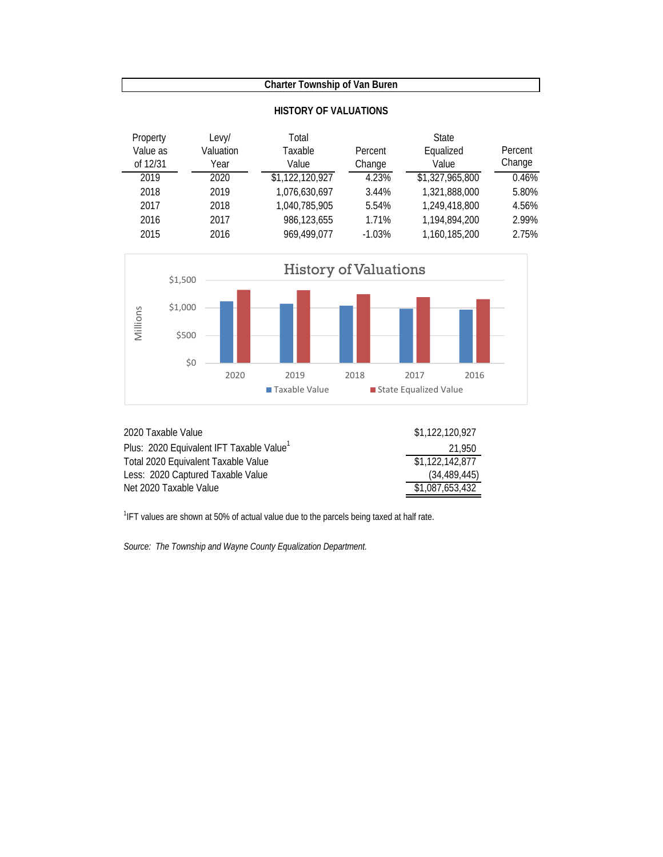| Property<br>Value as<br>of 12/31 | Levy/<br>Valuation<br>Year | Total<br>Taxable<br>Value | Percent<br>Change | <b>State</b><br>Equalized<br>Value | Percent<br>Change |
|----------------------------------|----------------------------|---------------------------|-------------------|------------------------------------|-------------------|
| 2019                             | 2020                       | \$1,122,120,927           | 4.23%             | \$1,327,965,800                    | 0.46%             |
| 2018                             | 2019                       | 1,076,630,697             | 3.44%             | 1,321,888,000                      | 5.80%             |
| 2017                             | 2018                       | 1,040,785,905             | 5.54%             | 1,249,418,800                      | 4.56%             |
| 2016                             | 2017                       | 986,123,655               | 1.71%             | 1,194,894,200                      | 2.99%             |
| 2015                             | 2016                       | 969.499.077               | $-1.03%$          | 1,160,185,200                      | 2.75%             |





| 2020 Taxable Value                                   | \$1,122,120,927 |
|------------------------------------------------------|-----------------|
| Plus: 2020 Equivalent IFT Taxable Value <sup>1</sup> | 21.950          |
| Total 2020 Equivalent Taxable Value                  | \$1.122.142.877 |
| Less: 2020 Captured Taxable Value                    | (34, 489, 445)  |
| Net 2020 Taxable Value                               | \$1,087,653,432 |

<sup>1</sup>IFT values are shown at 50% of actual value due to the parcels being taxed at half rate.

*Source: The Township and Wayne County Equalization Department.*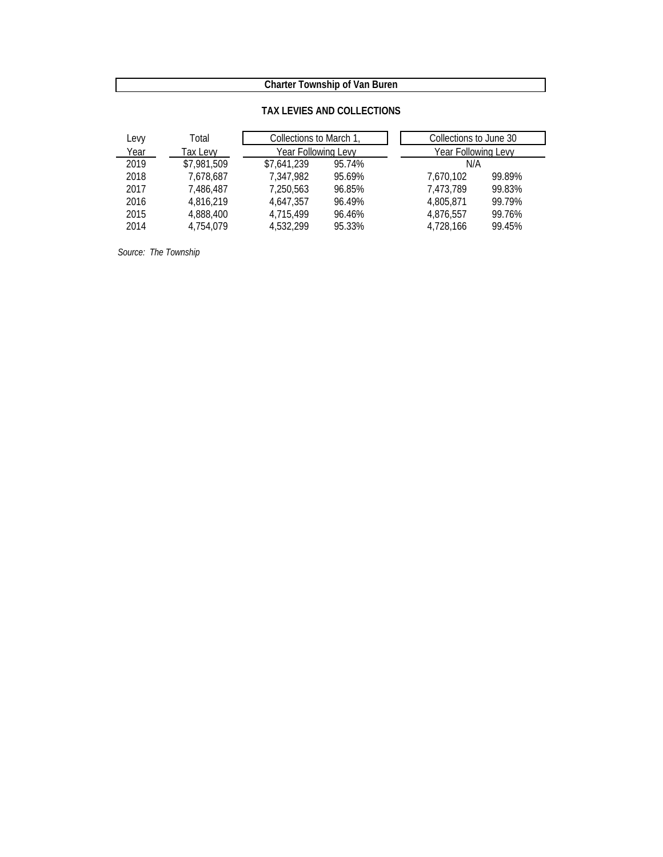#### **TAX LEVIES AND COLLECTIONS**

| Levy | Total       | Collections to March 1, |        | Collections to June 30 |        |
|------|-------------|-------------------------|--------|------------------------|--------|
| Year | Tax Levy    | Year Following Levy     |        | Year Following Levy    |        |
| 2019 | \$7,981,509 | \$7,641,239             | 95.74% | N/A                    |        |
| 2018 | 7,678,687   | 7.347.982               | 95.69% | 7.670.102              | 99.89% |
| 2017 | 7,486,487   | 7,250,563               | 96.85% | 7,473,789              | 99.83% |
| 2016 | 4.816.219   | 4.647.357               | 96.49% | 4.805.871              | 99.79% |
| 2015 | 4,888,400   | 4.715.499               | 96.46% | 4.876.557              | 99.76% |
| 2014 | 4.754.079   | 4.532.299               | 95.33% | 4,728,166              | 99.45% |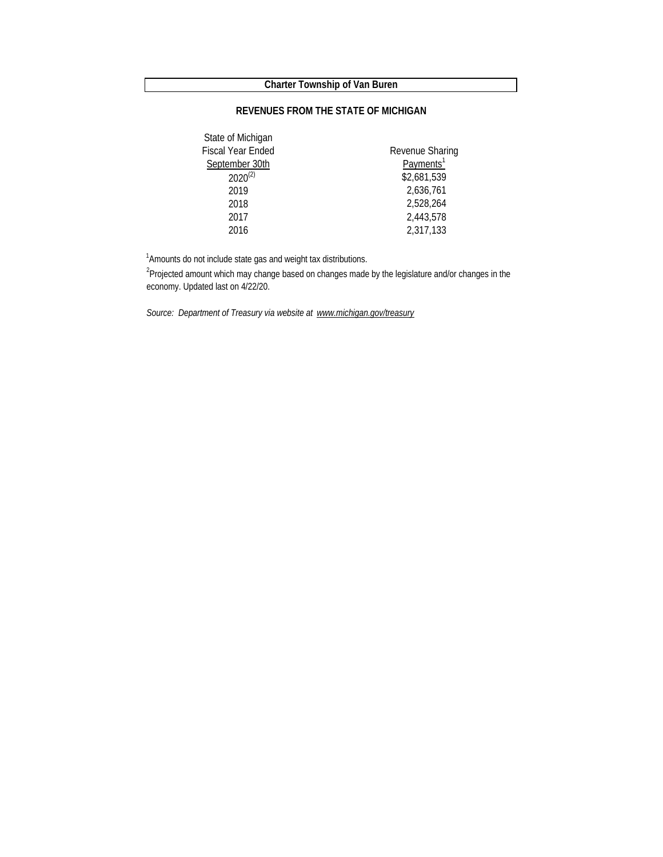#### **REVENUES FROM THE STATE OF MICHIGAN**

| State of Michigan |                       |
|-------------------|-----------------------|
| Fiscal Year Ended | Revenue Sharing       |
| September 30th    | Payments <sup>1</sup> |
| $2020^{(2)}$      | \$2,681,539           |
| 2019              | 2,636,761             |
| 2018              | 2,528,264             |
| 2017              | 2,443,578             |
| 2016              | 2,317,133             |

<sup>1</sup> Amounts do not include state gas and weight tax distributions.

<sup>2</sup>Projected amount which may change based on changes made by the legislature and/or changes in the economy. Updated last on 4/22/20.

*Source: Department of Treasury via website at www.michigan.gov/treasury*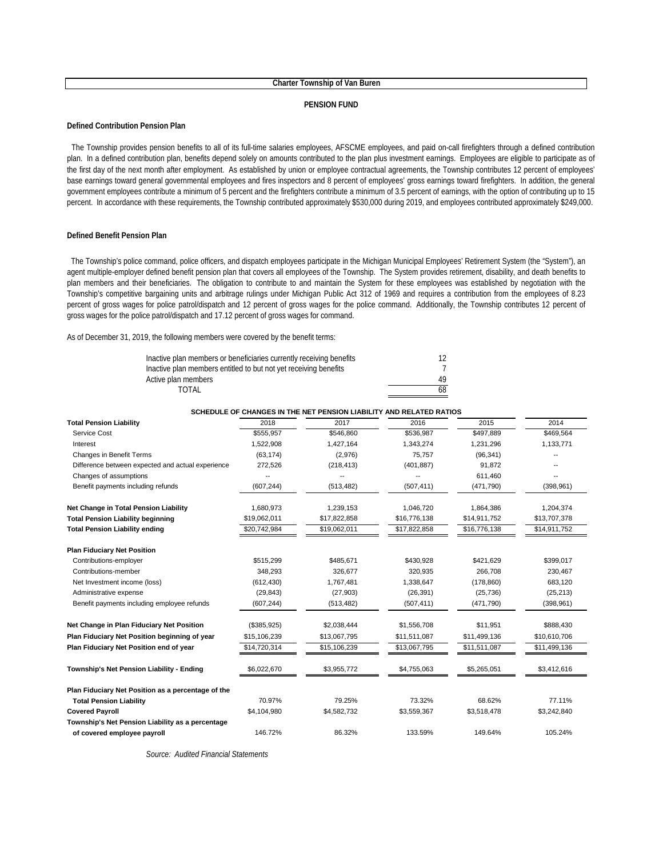#### **PENSION FUND**

#### **Defined Contribution Pension Plan**

The Township provides pension benefits to all of its full-time salaries employees, AFSCME employees, and paid on-call firefighters through a defined contribution plan. In a defined contribution plan, benefits depend solely on amounts contributed to the plan plus investment earnings. Employees are eligible to participate as of the first day of the next month after employment. As established by union or employee contractual agreements, the Township contributes 12 percent of employees' base earnings toward general governmental employees and fires inspectors and 8 percent of employees' gross earnings toward firefighters. In addition, the general government employees contribute a minimum of 5 percent and the firefighters contribute a minimum of 3.5 percent of earnings, with the option of contributing up to 15 percent. In accordance with these requirements, the Township contributed approximately \$530,000 during 2019, and employees contributed approximately \$249,000.

#### **Defined Benefit Pension Plan**

The Township's police command, police officers, and dispatch employees participate in the Michigan Municipal Employees' Retirement System (the "System"), an agent multiple-employer defined benefit pension plan that covers all employees of the Township. The System provides retirement, disability, and death benefits to plan members and their beneficiaries. The obligation to contribute to and maintain the System for these employees was established by negotiation with the Township's competitive bargaining units and arbitrage rulings under Michigan Public Act 312 of 1969 and requires a contribution from the employees of 8.23 percent of gross wages for police patrol/dispatch and 12 percent of gross wages for the police command. Additionally, the Township contributes 12 percent of gross wages for the police patrol/dispatch and 17.12 percent of gross wages for command.

As of December 31, 2019, the following members were covered by the benefit terms:

| Inactive plan members or beneficiaries currently receiving benefits | 12 |
|---------------------------------------------------------------------|----|
| Inactive plan members entitled to but not yet receiving benefits    |    |
| Active plan members                                                 | 49 |
| TOTAL                                                               | 68 |

|                                                    |              | SCHEDULE OF CHANGES IN THE NET PENSION LIABILITY AND RELATED RATIOS |              |              |              |
|----------------------------------------------------|--------------|---------------------------------------------------------------------|--------------|--------------|--------------|
| <b>Total Pension Liability</b>                     | 2018         | 2017                                                                | 2016         | 2015         | 2014         |
| Service Cost                                       | \$555,957    | \$546,860                                                           | \$536,987    | \$497,889    | \$469,564    |
| Interest                                           | 1,522,908    | 1,427,164                                                           | 1,343,274    | 1,231,296    | 1,133,771    |
| <b>Changes in Benefit Terms</b>                    | (63, 174)    | (2,976)                                                             | 75,757       | (96, 341)    |              |
| Difference between expected and actual experience  | 272,526      | (218, 413)                                                          | (401, 887)   | 91,872       |              |
| Changes of assumptions                             |              |                                                                     |              | 611,460      |              |
| Benefit payments including refunds                 | (607, 244)   | (513, 482)                                                          | (507, 411)   | (471,790)    | (398, 961)   |
| Net Change in Total Pension Liability              | 1,680,973    | 1,239,153                                                           | 1,046,720    | 1,864,386    | 1,204,374    |
| <b>Total Pension Liability beginning</b>           | \$19,062,011 | \$17,822,858                                                        | \$16,776,138 | \$14,911,752 | \$13,707,378 |
| <b>Total Pension Liability ending</b>              | \$20,742,984 | \$19,062,011                                                        | \$17,822,858 | \$16,776,138 | \$14,911,752 |
| <b>Plan Fiduciary Net Position</b>                 |              |                                                                     |              |              |              |
| Contributions-employer                             | \$515,299    | \$485,671                                                           | \$430,928    | \$421,629    | \$399,017    |
| Contributions-member                               | 348,293      | 326,677                                                             | 320,935      | 266,708      | 230,467      |
| Net Investment income (loss)                       | (612, 430)   | 1,767,481                                                           | 1,338,647    | (178, 860)   | 683,120      |
| Administrative expense                             | (29, 843)    | (27,903)                                                            | (26, 391)    | (25, 736)    | (25, 213)    |
| Benefit payments including employee refunds        | (607, 244)   | (513, 482)                                                          | (507, 411)   | (471, 790)   | (398, 961)   |
| Net Change in Plan Fiduciary Net Position          | (\$385,925)  | \$2,038,444                                                         | \$1,556,708  | \$11,951     | \$888,430    |
| Plan Fiduciary Net Position beginning of year      | \$15,106,239 | \$13,067,795                                                        | \$11,511,087 | \$11,499,136 | \$10,610,706 |
| Plan Fiduciary Net Position end of year            | \$14,720,314 | \$15,106,239                                                        | \$13,067,795 | \$11,511,087 | \$11,499,136 |
| Township's Net Pension Liability - Ending          | \$6,022,670  | \$3,955,772                                                         | \$4,755,063  | \$5,265,051  | \$3,412,616  |
| Plan Fiduciary Net Position as a percentage of the |              |                                                                     |              |              |              |
| <b>Total Pension Liability</b>                     | 70.97%       | 79.25%                                                              | 73.32%       | 68.62%       | 77.11%       |
| <b>Covered Payroll</b>                             | \$4,104,980  | \$4,582,732                                                         | \$3,559,367  | \$3,518,478  | \$3,242,840  |
| Township's Net Pension Liability as a percentage   |              |                                                                     |              |              |              |
| of covered employee payroll                        | 146.72%      | 86.32%                                                              | 133.59%      | 149.64%      | 105.24%      |
|                                                    |              |                                                                     |              |              |              |

*Source: Audited Financial Statements*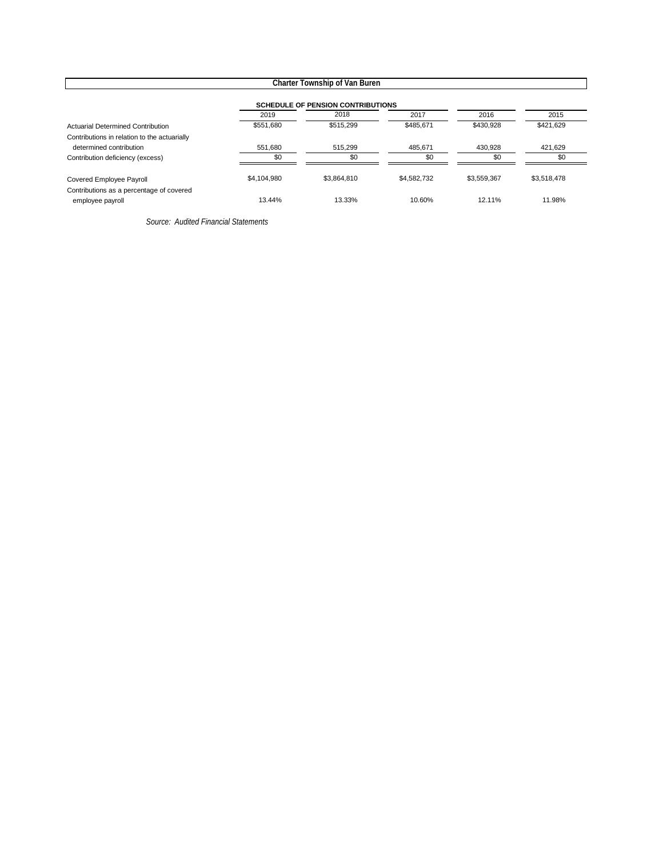|                                                              |             | <b>Charter Township of Van Buren</b>     |             |             |             |
|--------------------------------------------------------------|-------------|------------------------------------------|-------------|-------------|-------------|
|                                                              |             | <b>SCHEDULE OF PENSION CONTRIBUTIONS</b> |             |             |             |
|                                                              | 2019        | 2018                                     | 2017        | 2016        | 2015        |
| <b>Actuarial Determined Contribution</b>                     | \$551,680   | \$515,299                                | \$485,671   | \$430,928   | \$421,629   |
| Contributions in relation to the actuarially                 |             |                                          |             |             |             |
| determined contribution                                      | 551,680     | 515,299                                  | 485,671     | 430,928     | 421,629     |
| Contribution deficiency (excess)                             | \$0         | \$0                                      | \$0         | \$0         | \$0         |
| Covered Employee Payroll                                     | \$4,104,980 | \$3,864,810                              | \$4.582.732 | \$3,559,367 | \$3,518,478 |
| Contributions as a percentage of covered<br>employee payroll | 13.44%      | 13.33%                                   | 10.60%      | 12.11%      | 11.98%      |

*Source: Audited Financial Statements*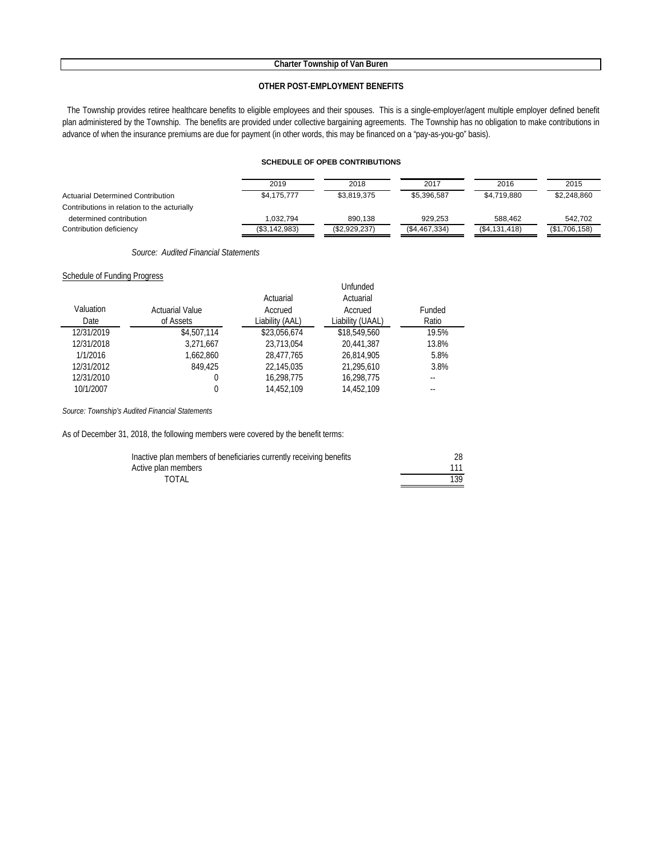#### **OTHER POST-EMPLOYMENT BENEFITS**

The Township provides retiree healthcare benefits to eligible employees and their spouses. This is a single-employer/agent multiple employer defined benefit plan administered by the Township. The benefits are provided under collective bargaining agreements. The Township has no obligation to make contributions in advance of when the insurance premiums are due for payment (in other words, this may be financed on a "pay-as-you-go" basis).

#### **SCHEDULE OF OPEB CONTRIBUTIONS**

|                                             | 2019          | 2018          | 2017          | 2016          | 2015          |
|---------------------------------------------|---------------|---------------|---------------|---------------|---------------|
| Actuarial Determined Contribution           | \$4,175,777   | \$3,819,375   | \$5,396,587   | \$4,719,880   | \$2,248,860   |
| Contributions in relation to the acturially |               |               |               |               |               |
| determined contribution                     | 1.032.794     | 890.138       | 929.253       | 588.462       | 542.702       |
| Contribution deficiency                     | (\$3,142,983) | (\$2,929,237) | (\$4,467,334) | (\$4,131,418) | (\$1,706,158) |

*Source: Audited Financial Statements*

#### **Schedule of Funding Progress**

| Valuation  | <b>Actuarial Value</b> | Actuarial       | Unfunded<br>Actuarial<br>Accrued | Funded |
|------------|------------------------|-----------------|----------------------------------|--------|
|            |                        | Accrued         |                                  |        |
| Date       | of Assets              | Liability (AAL) | Liability (UAAL)                 | Ratio  |
| 12/31/2019 | \$4,507,114            | \$23,056,674    | \$18,549,560                     | 19.5%  |
| 12/31/2018 | 3,271,667              | 23,713,054      | 20.441.387                       | 13.8%  |
| 1/1/2016   | 1.662.860              | 28.477.765      | 26.814.905                       | 5.8%   |
| 12/31/2012 | 849.425                | 22,145,035      | 21,295,610                       | 3.8%   |
| 12/31/2010 | 0                      | 16,298,775      | 16,298,775                       | --     |
| 10/1/2007  |                        | 14,452,109      | 14,452,109                       |        |

*Source: Township's Audited Financial Statements*

As of December 31, 2018, the following members were covered by the benefit terms:

| Inactive plan members of beneficiaries currently receiving benefits |     |
|---------------------------------------------------------------------|-----|
| Active plan members                                                 |     |
| TOTAL                                                               | 139 |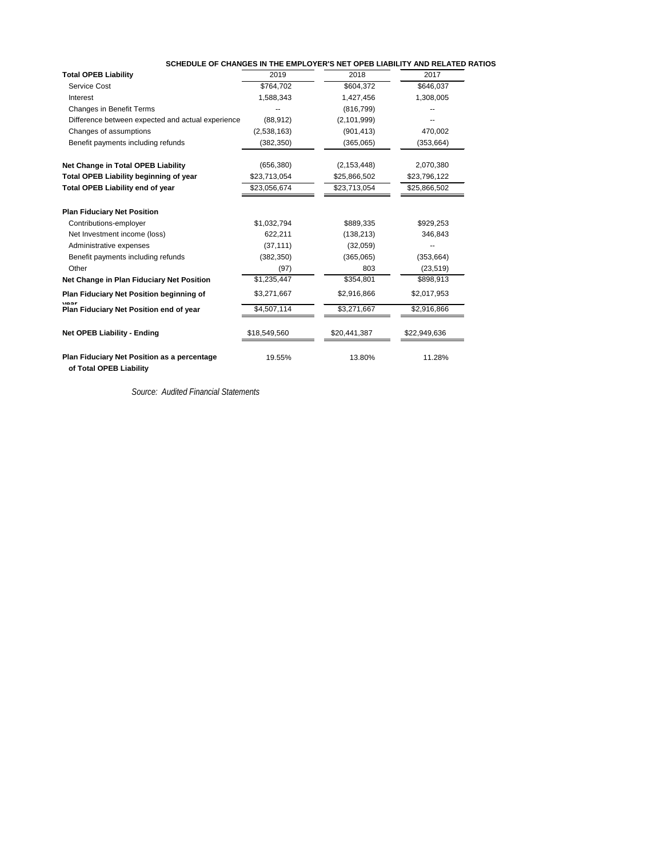| SCHEDULE OF CHANGES IN THE EMPLOYER'S NET OPEB LIABILITY AND RELATED RATIOS |  |  |
|-----------------------------------------------------------------------------|--|--|
|                                                                             |  |  |

| <b>Total OPEB Liability</b>                                                   | 2019         | 2018          | 2017         |
|-------------------------------------------------------------------------------|--------------|---------------|--------------|
| Service Cost                                                                  | \$764,702    | \$604,372     | \$646,037    |
| Interest                                                                      | 1,588,343    | 1,427,456     | 1,308,005    |
| <b>Changes in Benefit Terms</b>                                               |              | (816, 799)    |              |
| Difference between expected and actual experience                             | (88, 912)    | (2,101,999)   |              |
| Changes of assumptions                                                        | (2,538,163)  | (901, 413)    | 470,002      |
| Benefit payments including refunds                                            | (382, 350)   | (365,065)     | (353, 664)   |
| <b>Net Change in Total OPEB Liability</b>                                     | (656, 380)   | (2, 153, 448) | 2,070,380    |
| <b>Total OPEB Liability beginning of year</b>                                 | \$23,713,054 | \$25,866,502  | \$23,796,122 |
| <b>Total OPEB Liability end of year</b>                                       | \$23,056,674 | \$23,713,054  | \$25,866,502 |
| <b>Plan Fiduciary Net Position</b>                                            |              |               |              |
| Contributions-employer                                                        | \$1,032,794  | \$889,335     | \$929,253    |
| Net Investment income (loss)                                                  | 622,211      | (138, 213)    | 346,843      |
| Administrative expenses                                                       | (37, 111)    | (32,059)      |              |
| Benefit payments including refunds                                            | (382, 350)   | (365,065)     | (353, 664)   |
| Other                                                                         | (97)         | 803           | (23, 519)    |
| Net Change in Plan Fiduciary Net Position                                     | \$1,235,447  | \$354,801     | \$898,913    |
| Plan Fiduciary Net Position beginning of                                      | \$3,271,667  | \$2,916,866   | \$2,017,953  |
| voor<br>Plan Fiduciary Net Position end of year                               | \$4,507,114  | \$3,271,667   | \$2,916,866  |
| <b>Net OPEB Liability - Ending</b>                                            | \$18,549,560 | \$20,441,387  | \$22,949,636 |
| <b>Plan Fiduciary Net Position as a percentage</b><br>of Total OPEB Liability | 19.55%       | 13.80%        | 11.28%       |

*Source: Audited Financial Statements*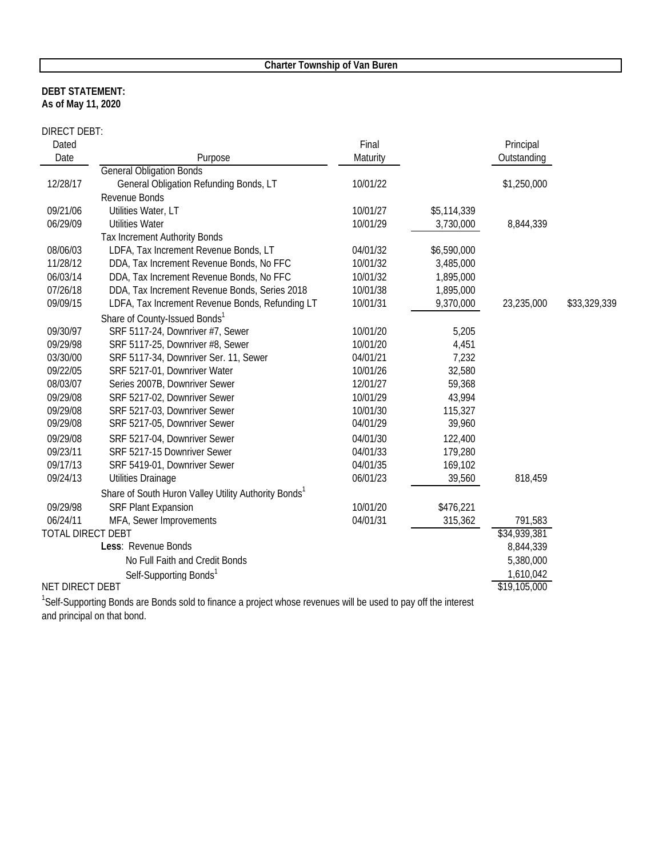#### **As of May 11, 2020 DEBT STATEMENT:**

DIRECT DEBT:

| Dated                    |                                                                  | Final    |             | Principal    |              |
|--------------------------|------------------------------------------------------------------|----------|-------------|--------------|--------------|
| Date                     | Purpose                                                          | Maturity |             | Outstanding  |              |
|                          | <b>General Obligation Bonds</b>                                  |          |             |              |              |
| 12/28/17                 | General Obligation Refunding Bonds, LT                           | 10/01/22 |             | \$1,250,000  |              |
|                          | Revenue Bonds                                                    |          |             |              |              |
| 09/21/06                 | Utilities Water, LT                                              | 10/01/27 | \$5,114,339 |              |              |
| 06/29/09                 | <b>Utilities Water</b>                                           | 10/01/29 | 3,730,000   | 8,844,339    |              |
|                          | <b>Tax Increment Authority Bonds</b>                             |          |             |              |              |
| 08/06/03                 | LDFA, Tax Increment Revenue Bonds, LT                            | 04/01/32 | \$6,590,000 |              |              |
| 11/28/12                 | DDA, Tax Increment Revenue Bonds, No FFC                         | 10/01/32 | 3,485,000   |              |              |
| 06/03/14                 | DDA, Tax Increment Revenue Bonds, No FFC                         | 10/01/32 | 1,895,000   |              |              |
| 07/26/18                 | DDA, Tax Increment Revenue Bonds, Series 2018                    | 10/01/38 | 1,895,000   |              |              |
| 09/09/15                 | LDFA, Tax Increment Revenue Bonds, Refunding LT                  | 10/01/31 | 9,370,000   | 23,235,000   | \$33,329,339 |
|                          | Share of County-Issued Bonds <sup>1</sup>                        |          |             |              |              |
| 09/30/97                 | SRF 5117-24, Downriver #7, Sewer                                 | 10/01/20 | 5,205       |              |              |
| 09/29/98                 | SRF 5117-25, Downriver #8, Sewer                                 | 10/01/20 | 4,451       |              |              |
| 03/30/00                 | SRF 5117-34, Downriver Ser. 11, Sewer                            | 04/01/21 | 7,232       |              |              |
| 09/22/05                 | SRF 5217-01, Downriver Water                                     | 10/01/26 | 32,580      |              |              |
| 08/03/07                 | Series 2007B, Downriver Sewer                                    | 12/01/27 | 59,368      |              |              |
| 09/29/08                 | SRF 5217-02, Downriver Sewer                                     | 10/01/29 | 43,994      |              |              |
| 09/29/08                 | SRF 5217-03, Downriver Sewer                                     | 10/01/30 | 115,327     |              |              |
| 09/29/08                 | SRF 5217-05, Downriver Sewer                                     | 04/01/29 | 39,960      |              |              |
| 09/29/08                 | SRF 5217-04, Downriver Sewer                                     | 04/01/30 | 122,400     |              |              |
| 09/23/11                 | SRF 5217-15 Downriver Sewer                                      | 04/01/33 | 179,280     |              |              |
| 09/17/13                 | SRF 5419-01, Downriver Sewer                                     | 04/01/35 | 169,102     |              |              |
| 09/24/13                 | Utilities Drainage                                               | 06/01/23 | 39,560      | 818,459      |              |
|                          | Share of South Huron Valley Utility Authority Bonds <sup>1</sup> |          |             |              |              |
| 09/29/98                 | <b>SRF Plant Expansion</b>                                       | 10/01/20 | \$476,221   |              |              |
| 06/24/11                 | MFA, Sewer Improvements                                          | 04/01/31 | 315,362     | 791,583      |              |
| <b>TOTAL DIRECT DEBT</b> |                                                                  |          |             | \$34,939,381 |              |
|                          | Less: Revenue Bonds                                              |          |             | 8,844,339    |              |
|                          | No Full Faith and Credit Bonds                                   |          |             | 5,380,000    |              |
|                          | Self-Supporting Bonds <sup>1</sup>                               |          |             | 1,610,042    |              |
| NET DIRECT DEBT          |                                                                  |          |             | \$19,105,000 |              |
|                          | $\alpha$ if $\alpha$ is about $\alpha$ is the set $\alpha$       |          |             |              |              |

<sup>1</sup>Self-Supporting Bonds are Bonds sold to finance a project whose revenues will be used to pay off the interest and principal on that bond.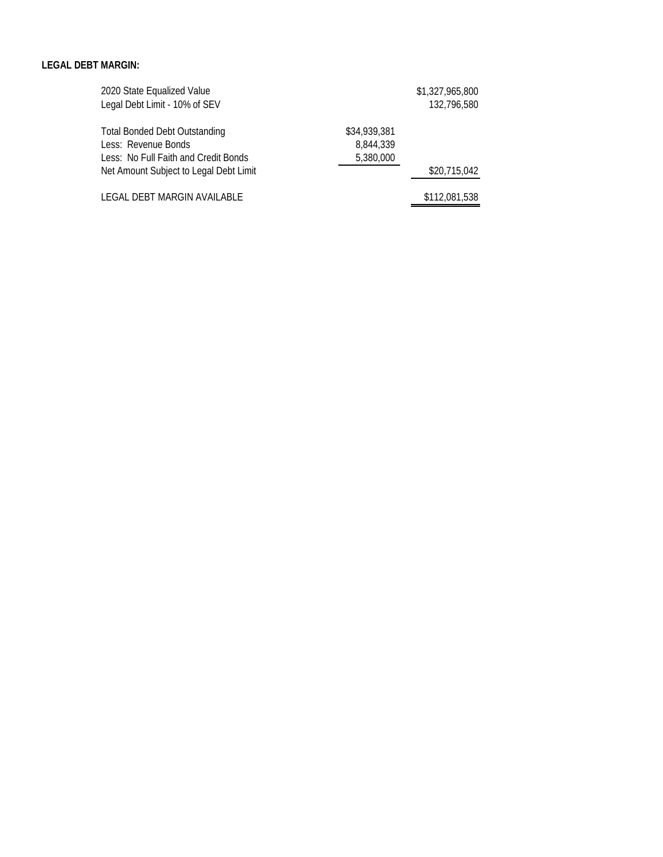#### **LEGAL DEBT MARGIN:**

| 2020 State Equalized Value             |              | \$1,327,965,800 |
|----------------------------------------|--------------|-----------------|
| Legal Debt Limit - 10% of SEV          |              | 132,796,580     |
| <b>Total Bonded Debt Outstanding</b>   | \$34,939,381 |                 |
| Less: Revenue Bonds                    | 8.844.339    |                 |
| Less: No Full Faith and Credit Bonds   | 5,380,000    |                 |
| Net Amount Subject to Legal Debt Limit |              | \$20,715,042    |
| LEGAL DEBT MARGIN AVAILABLE            |              | \$112,081,538   |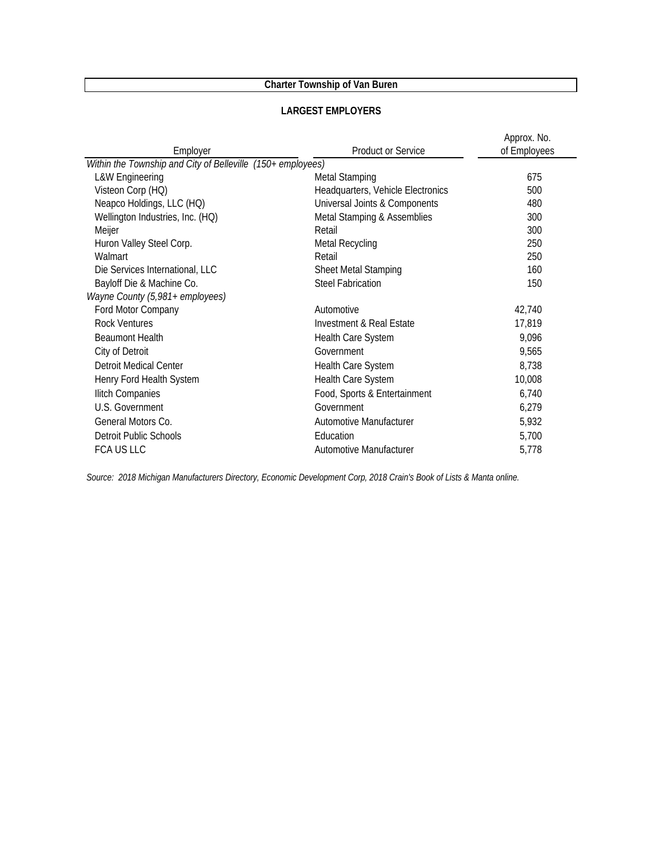| Employer                                                    | <b>Product or Service</b>         | Approx. No.<br>of Employees |
|-------------------------------------------------------------|-----------------------------------|-----------------------------|
| Within the Township and City of Belleville (150+ employees) |                                   |                             |
| <b>L&amp;W Engineering</b>                                  | <b>Metal Stamping</b>             | 675                         |
| Visteon Corp (HQ)                                           | Headquarters, Vehicle Electronics | 500                         |
| Neapco Holdings, LLC (HQ)                                   | Universal Joints & Components     | 480                         |
| Wellington Industries, Inc. (HQ)                            | Metal Stamping & Assemblies       | 300                         |
| Meijer                                                      | Retail                            | 300                         |
| Huron Valley Steel Corp.                                    | <b>Metal Recycling</b>            | 250                         |
| Walmart                                                     | Retail                            | 250                         |
| Die Services International, LLC                             | Sheet Metal Stamping              | 160                         |
| Bayloff Die & Machine Co.                                   | <b>Steel Fabrication</b>          | 150                         |
| Wayne County (5,981+ employees)                             |                                   |                             |
| Ford Motor Company                                          | Automotive                        | 42,740                      |
| Rock Ventures                                               | Investment & Real Estate          | 17,819                      |
| <b>Beaumont Health</b>                                      | Health Care System                | 9,096                       |
| City of Detroit                                             | Government                        | 9,565                       |
| <b>Detroit Medical Center</b>                               | Health Care System                | 8,738                       |
| Henry Ford Health System                                    | Health Care System                | 10,008                      |
| Ilitch Companies                                            | Food, Sports & Entertainment      | 6,740                       |
| U.S. Government                                             | Government                        | 6,279                       |
| General Motors Co.                                          | Automotive Manufacturer           | 5,932                       |
| Detroit Public Schools                                      | Education                         | 5,700                       |
| <b>FCA US LLC</b>                                           | Automotive Manufacturer           | 5,778                       |

#### **LARGEST EMPLOYERS**

*Source: 2018 Michigan Manufacturers Directory, Economic Development Corp, 2018 Crain's Book of Lists & Manta online.*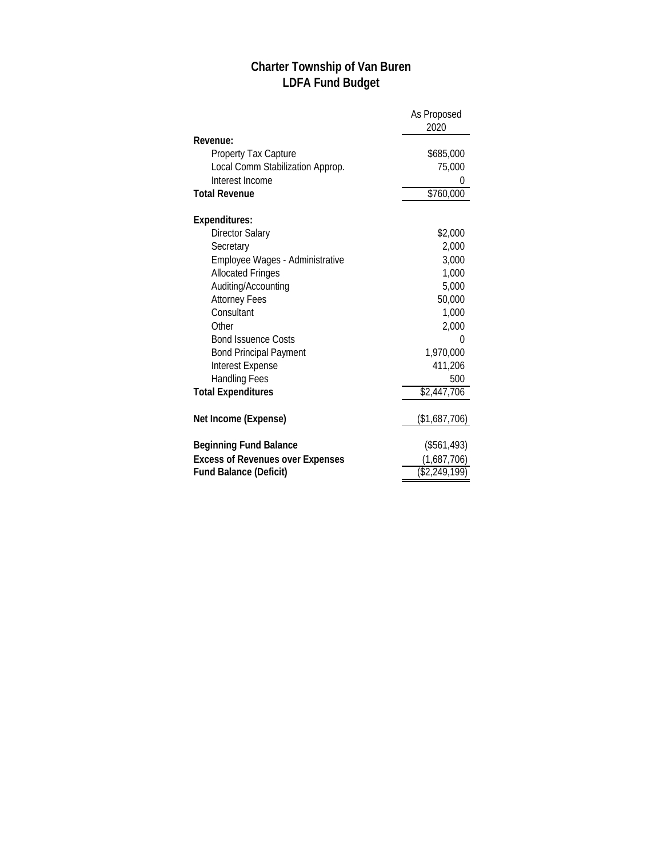# **Charter Township of Van Buren LDFA Fund Budget**

|                                         | As Proposed      |  |
|-----------------------------------------|------------------|--|
|                                         | 2020             |  |
| Revenue:                                |                  |  |
| <b>Property Tax Capture</b>             | \$685,000        |  |
| Local Comm Stabilization Approp.        | 75,000           |  |
| Interest Income                         | 0                |  |
| <b>Total Revenue</b>                    | \$760,000        |  |
| Expenditures:                           |                  |  |
| <b>Director Salary</b>                  | \$2,000          |  |
| Secretary                               | 2,000            |  |
| Employee Wages - Administrative         | 3,000            |  |
| <b>Allocated Fringes</b>                | 1,000            |  |
| Auditing/Accounting                     | 5,000            |  |
| <b>Attorney Fees</b>                    | 50,000           |  |
| Consultant                              | 1,000            |  |
| Other                                   | 2,000            |  |
| <b>Bond Issuence Costs</b>              | 0                |  |
| <b>Bond Principal Payment</b>           | 1,970,000        |  |
| Interest Expense                        | 411,206          |  |
| <b>Handling Fees</b>                    | 500              |  |
| <b>Total Expenditures</b>               | \$2,447,706      |  |
| Net Income (Expense)                    | (\$1,687,706)    |  |
| <b>Beginning Fund Balance</b>           | (\$561,493)      |  |
| <b>Excess of Revenues over Expenses</b> | (1,687,706)      |  |
| <b>Fund Balance (Deficit)</b>           | $($ \$2,249,199) |  |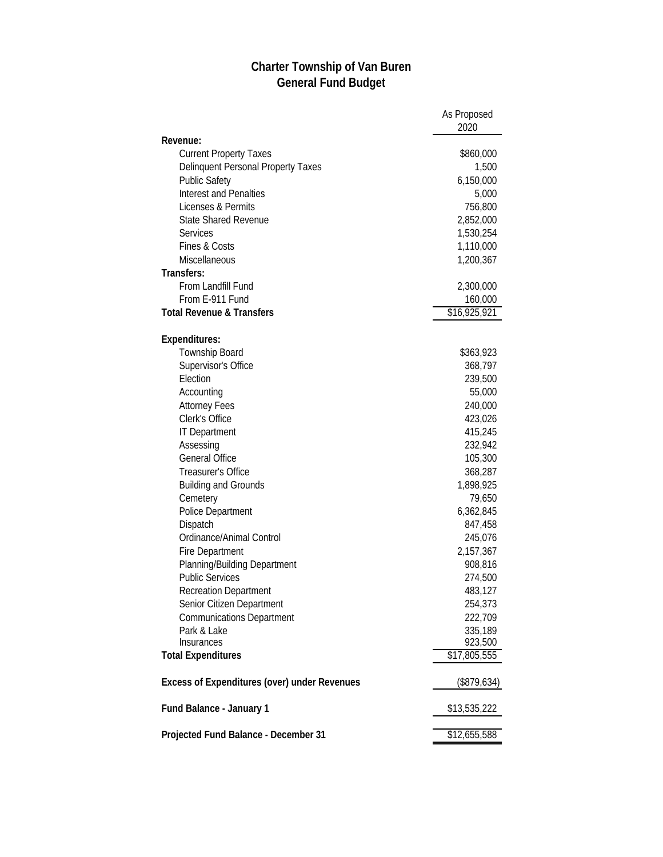## **Charter Township of Van Buren General Fund Budget**

|                                              | As Proposed<br>2020  |
|----------------------------------------------|----------------------|
| Revenue:                                     |                      |
| <b>Current Property Taxes</b>                | \$860,000            |
| Delinquent Personal Property Taxes           | 1,500                |
| <b>Public Safety</b>                         | 6,150,000            |
| <b>Interest and Penalties</b>                | 5,000                |
| Licenses & Permits                           | 756,800              |
| <b>State Shared Revenue</b>                  | 2,852,000            |
| <b>Services</b>                              | 1,530,254            |
| <b>Fines &amp; Costs</b>                     | 1,110,000            |
| Miscellaneous                                | 1,200,367            |
| Transfers:                                   |                      |
| From Landfill Fund                           | 2,300,000            |
| From E-911 Fund                              | 160,000              |
| <b>Total Revenue &amp; Transfers</b>         | \$16,925,921         |
|                                              |                      |
| Expenditures:                                |                      |
| Township Board                               | \$363,923            |
| Supervisor's Office                          | 368,797              |
| Election                                     | 239,500              |
| Accounting                                   | 55,000               |
| <b>Attorney Fees</b>                         | 240,000              |
| Clerk's Office                               | 423,026              |
| <b>IT Department</b>                         | 415,245              |
| Assessing                                    | 232,942              |
| <b>General Office</b>                        | 105,300              |
| Treasurer's Office                           | 368,287              |
| <b>Building and Grounds</b>                  | 1,898,925            |
| Cemetery                                     | 79,650               |
| Police Department                            | 6,362,845            |
| Dispatch                                     | 847,458              |
| Ordinance/Animal Control                     |                      |
|                                              | 245,076<br>2,157,367 |
| <b>Fire Department</b>                       |                      |
| Planning/Building Department                 | 908,816              |
| <b>Public Services</b>                       | 274,500              |
| <b>Recreation Department</b>                 | 483,127              |
| Senior Citizen Department                    | 254,373              |
| <b>Communications Department</b>             | 222,709              |
| Park & Lake                                  | 335,189              |
| Insurances                                   | 923,500              |
| <b>Total Expenditures</b>                    | \$17,805,555         |
| Excess of Expenditures (over) under Revenues | (\$879,634)          |
| Fund Balance - January 1                     | \$13,535,222         |
| Projected Fund Balance - December 31         | \$12,655,588         |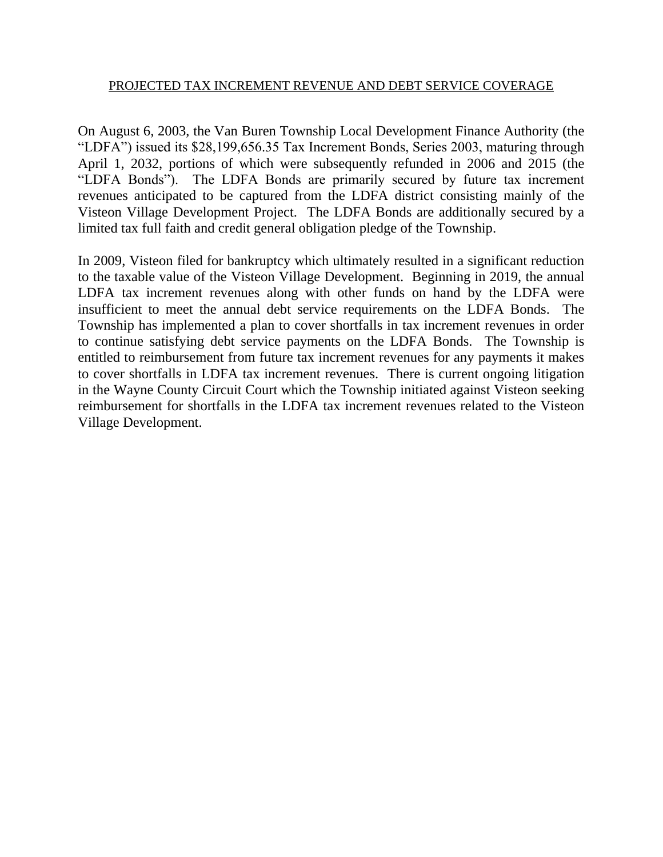### PROJECTED TAX INCREMENT REVENUE AND DEBT SERVICE COVERAGE

On August 6, 2003, the Van Buren Township Local Development Finance Authority (the "LDFA") issued its \$28,199,656.35 Tax Increment Bonds, Series 2003, maturing through April 1, 2032, portions of which were subsequently refunded in 2006 and 2015 (the "LDFA Bonds"). The LDFA Bonds are primarily secured by future tax increment revenues anticipated to be captured from the LDFA district consisting mainly of the Visteon Village Development Project. The LDFA Bonds are additionally secured by a limited tax full faith and credit general obligation pledge of the Township.

In 2009, Visteon filed for bankruptcy which ultimately resulted in a significant reduction to the taxable value of the Visteon Village Development. Beginning in 2019, the annual LDFA tax increment revenues along with other funds on hand by the LDFA were insufficient to meet the annual debt service requirements on the LDFA Bonds. The Township has implemented a plan to cover shortfalls in tax increment revenues in order to continue satisfying debt service payments on the LDFA Bonds. The Township is entitled to reimbursement from future tax increment revenues for any payments it makes to cover shortfalls in LDFA tax increment revenues. There is current ongoing litigation in the Wayne County Circuit Court which the Township initiated against Visteon seeking reimbursement for shortfalls in the LDFA tax increment revenues related to the Visteon Village Development.